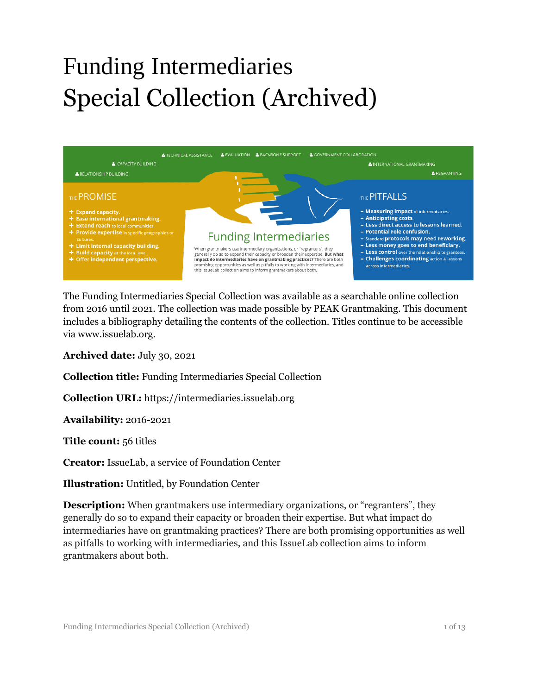# Funding Intermediaries Special Collection (Archived)



The Funding Intermediaries Special Collection was available as a searchable online collection from 2016 until 2021. The collection was made possible by PEAK Grantmaking. This document includes a bibliography detailing the contents of the collection. Titles continue to be accessible via www.issuelab.org.

**Archived date:** July 30, 2021

**Collection title:** Funding Intermediaries Special Collection

**Collection URL:** https://intermediaries.issuelab.org

**Availability:** 2016-2021

**Title count:** 56 titles

**Creator:** IssueLab, a service of Foundation Center

**Illustration:** Untitled, by Foundation Center

**Description:** When grantmakers use intermediary organizations, or "regranters", they generally do so to expand their capacity or broaden their expertise. But what impact do intermediaries have on grantmaking practices? There are both promising opportunities as well as pitfalls to working with intermediaries, and this IssueLab collection aims to inform grantmakers about both.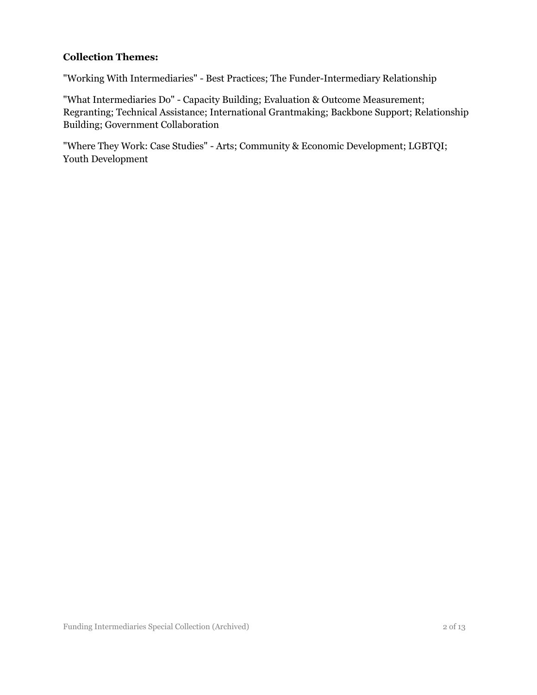#### **Collection Themes:**

"Working With Intermediaries" - Best Practices; The Funder-Intermediary Relationship

"What Intermediaries Do" - Capacity Building; Evaluation & Outcome Measurement; Regranting; Technical Assistance; International Grantmaking; Backbone Support; Relationship Building; Government Collaboration

"Where They Work: Case Studies" - Arts; Community & Economic Development; LGBTQI; Youth Development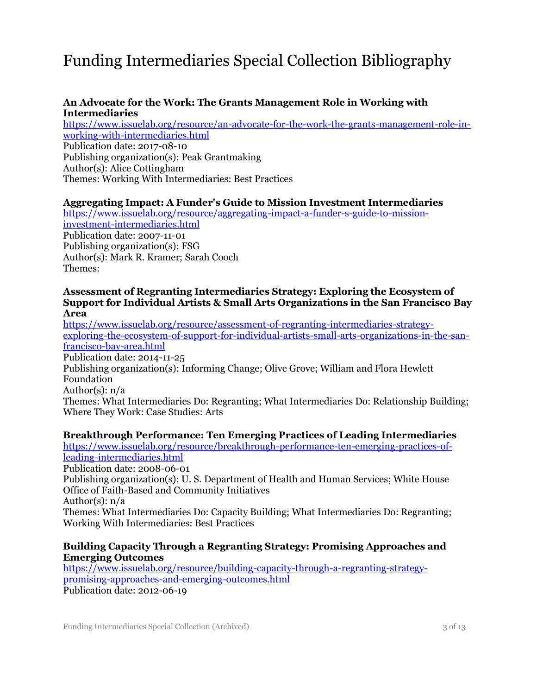## Funding Intermediaries Special Collection Bibliography

#### **An Advocate for the Work: The Grants Management Role in Working with Intermediaries**

[https://www.issuelab.org/resource/an-advocate-for-the-work-the-grants-management-role-in](https://www.issuelab.org/resource/an-advocate-for-the-work-the-grants-management-role-in-working-with-intermediaries.html)[working-with-intermediaries.html](https://www.issuelab.org/resource/an-advocate-for-the-work-the-grants-management-role-in-working-with-intermediaries.html) Publication date: 2017-08-10 Publishing organization(s): Peak Grantmaking Author(s): Alice Cottingham Themes: Working With Intermediaries: Best Practices

#### **Aggregating Impact: A Funder's Guide to Mission Investment Intermediaries**

[https://www.issuelab.org/resource/aggregating-impact-a-funder-s-guide-to-mission](https://www.issuelab.org/resource/aggregating-impact-a-funder-s-guide-to-mission-investment-intermediaries.html)[investment-intermediaries.html](https://www.issuelab.org/resource/aggregating-impact-a-funder-s-guide-to-mission-investment-intermediaries.html) Publication date: 2007-11-01 Publishing organization(s): FSG Author(s): Mark R. Kramer; Sarah Cooch Themes:

#### **Assessment of Regranting Intermediaries Strategy: Exploring the Ecosystem of Support for Individual Artists & Small Arts Organizations in the San Francisco Bay Area**

[https://www.issuelab.org/resource/assessment-of-regranting-intermediaries-strategy](https://www.issuelab.org/resource/assessment-of-regranting-intermediaries-strategy-exploring-the-ecosystem-of-support-for-individual-artists-small-arts-organizations-in-the-san-francisco-bay-area.html)[exploring-the-ecosystem-of-support-for-individual-artists-small-arts-organizations-in-the-san](https://www.issuelab.org/resource/assessment-of-regranting-intermediaries-strategy-exploring-the-ecosystem-of-support-for-individual-artists-small-arts-organizations-in-the-san-francisco-bay-area.html)[francisco-bay-area.html](https://www.issuelab.org/resource/assessment-of-regranting-intermediaries-strategy-exploring-the-ecosystem-of-support-for-individual-artists-small-arts-organizations-in-the-san-francisco-bay-area.html)

Publication date: 2014-11-25

Publishing organization(s): Informing Change; Olive Grove; William and Flora Hewlett Foundation

Author(s): n/a

Themes: What Intermediaries Do: Regranting; What Intermediaries Do: Relationship Building; Where They Work: Case Studies: Arts

#### **Breakthrough Performance: Ten Emerging Practices of Leading Intermediaries**

[https://www.issuelab.org/resource/breakthrough-performance-ten-emerging-practices-of](https://www.issuelab.org/resource/breakthrough-performance-ten-emerging-practices-of-leading-intermediaries.html)[leading-intermediaries.html](https://www.issuelab.org/resource/breakthrough-performance-ten-emerging-practices-of-leading-intermediaries.html)

Publication date: 2008-06-01

Publishing organization(s): U. S. Department of Health and Human Services; White House Office of Faith-Based and Community Initiatives

Author(s): n/a

Themes: What Intermediaries Do: Capacity Building; What Intermediaries Do: Regranting; Working With Intermediaries: Best Practices

#### **Building Capacity Through a Regranting Strategy: Promising Approaches and Emerging Outcomes**

[https://www.issuelab.org/resource/building-capacity-through-a-regranting-strategy](https://www.issuelab.org/resource/building-capacity-through-a-regranting-strategy-promising-approaches-and-emerging-outcomes.html)[promising-approaches-and-emerging-outcomes.html](https://www.issuelab.org/resource/building-capacity-through-a-regranting-strategy-promising-approaches-and-emerging-outcomes.html) Publication date: 2012-06-19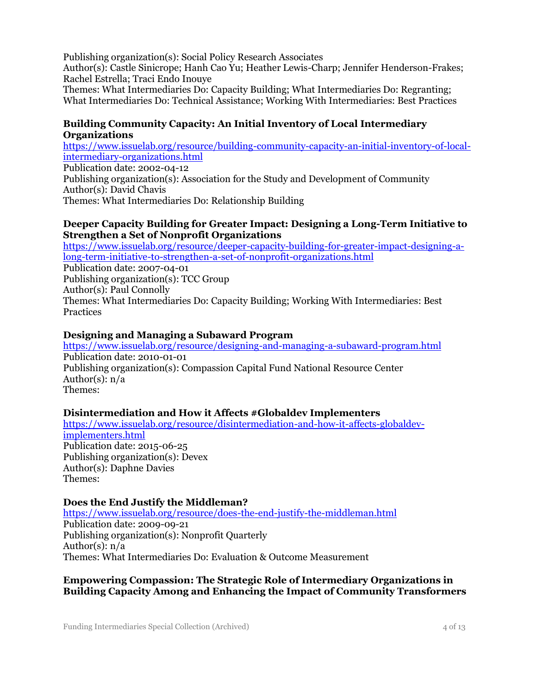Publishing organization(s): Social Policy Research Associates

Author(s): Castle Sinicrope; Hanh Cao Yu; Heather Lewis-Charp; Jennifer Henderson-Frakes; Rachel Estrella; Traci Endo Inouye

Themes: What Intermediaries Do: Capacity Building; What Intermediaries Do: Regranting; What Intermediaries Do: Technical Assistance; Working With Intermediaries: Best Practices

#### **Building Community Capacity: An Initial Inventory of Local Intermediary Organizations**

[https://www.issuelab.org/resource/building-community-capacity-an-initial-inventory-of-local](https://www.issuelab.org/resource/building-community-capacity-an-initial-inventory-of-local-intermediary-organizations.html)[intermediary-organizations.html](https://www.issuelab.org/resource/building-community-capacity-an-initial-inventory-of-local-intermediary-organizations.html) Publication date: 2002-04-12

Publishing organization(s): Association for the Study and Development of Community Author(s): David Chavis Themes: What Intermediaries Do: Relationship Building

#### **Deeper Capacity Building for Greater Impact: Designing a Long-Term Initiative to Strengthen a Set of Nonprofit Organizations**

[https://www.issuelab.org/resource/deeper-capacity-building-for-greater-impact-designing-a](https://www.issuelab.org/resource/deeper-capacity-building-for-greater-impact-designing-a-long-term-initiative-to-strengthen-a-set-of-nonprofit-organizations.html)[long-term-initiative-to-strengthen-a-set-of-nonprofit-organizations.html](https://www.issuelab.org/resource/deeper-capacity-building-for-greater-impact-designing-a-long-term-initiative-to-strengthen-a-set-of-nonprofit-organizations.html) Publication date: 2007-04-01 Publishing organization(s): TCC Group Author(s): Paul Connolly Themes: What Intermediaries Do: Capacity Building; Working With Intermediaries: Best **Practices** 

#### **Designing and Managing a Subaward Program**

<https://www.issuelab.org/resource/designing-and-managing-a-subaward-program.html> Publication date: 2010-01-01 Publishing organization(s): Compassion Capital Fund National Resource Center Author(s): n/a Themes:

#### **Disintermediation and How it Affects #Globaldev Implementers**

[https://www.issuelab.org/resource/disintermediation-and-how-it-affects-globaldev](https://www.issuelab.org/resource/disintermediation-and-how-it-affects-globaldev-implementers.html)[implementers.html](https://www.issuelab.org/resource/disintermediation-and-how-it-affects-globaldev-implementers.html) Publication date: 2015-06-25 Publishing organization(s): Devex Author(s): Daphne Davies Themes:

#### **Does the End Justify the Middleman?**

<https://www.issuelab.org/resource/does-the-end-justify-the-middleman.html> Publication date: 2009-09-21 Publishing organization(s): Nonprofit Quarterly Author(s): n/a Themes: What Intermediaries Do: Evaluation & Outcome Measurement

#### **Empowering Compassion: The Strategic Role of Intermediary Organizations in Building Capacity Among and Enhancing the Impact of Community Transformers**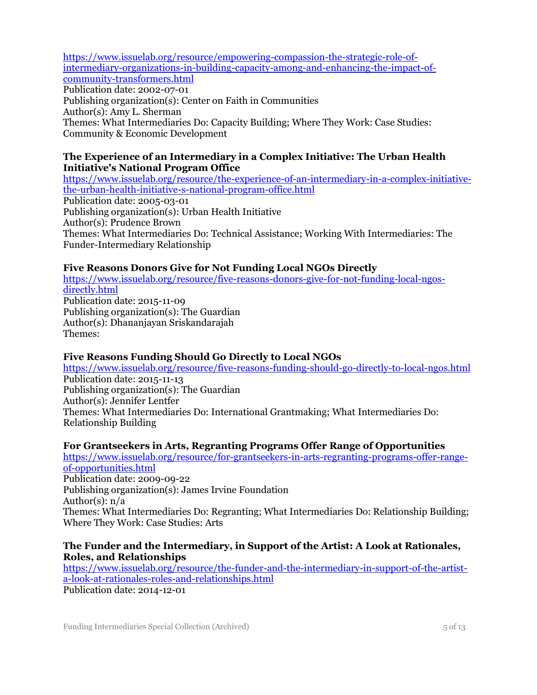[https://www.issuelab.org/resource/empowering-compassion-the-strategic-role-of](https://www.issuelab.org/resource/empowering-compassion-the-strategic-role-of-intermediary-organizations-in-building-capacity-among-and-enhancing-the-impact-of-community-transformers.html)[intermediary-organizations-in-building-capacity-among-and-enhancing-the-impact-of](https://www.issuelab.org/resource/empowering-compassion-the-strategic-role-of-intermediary-organizations-in-building-capacity-among-and-enhancing-the-impact-of-community-transformers.html)[community-transformers.html](https://www.issuelab.org/resource/empowering-compassion-the-strategic-role-of-intermediary-organizations-in-building-capacity-among-and-enhancing-the-impact-of-community-transformers.html) Publication date: 2002-07-01

Publishing organization(s): Center on Faith in Communities Author(s): Amy L. Sherman Themes: What Intermediaries Do: Capacity Building; Where They Work: Case Studies: Community & Economic Development

#### **The Experience of an Intermediary in a Complex Initiative: The Urban Health Initiative's National Program Office**

[https://www.issuelab.org/resource/the-experience-of-an-intermediary-in-a-complex-initiative](https://www.issuelab.org/resource/the-experience-of-an-intermediary-in-a-complex-initiative-the-urban-health-initiative-s-national-program-office.html)[the-urban-health-initiative-s-national-program-office.html](https://www.issuelab.org/resource/the-experience-of-an-intermediary-in-a-complex-initiative-the-urban-health-initiative-s-national-program-office.html) Publication date: 2005-03-01 Publishing organization(s): Urban Health Initiative Author(s): Prudence Brown Themes: What Intermediaries Do: Technical Assistance; Working With Intermediaries: The Funder-Intermediary Relationship

### **Five Reasons Donors Give for Not Funding Local NGOs Directly**

[https://www.issuelab.org/resource/five-reasons-donors-give-for-not-funding-local-ngos](https://www.issuelab.org/resource/five-reasons-donors-give-for-not-funding-local-ngos-directly.html)[directly.html](https://www.issuelab.org/resource/five-reasons-donors-give-for-not-funding-local-ngos-directly.html) Publication date: 2015-11-09 Publishing organization(s): The Guardian Author(s): Dhananjayan Sriskandarajah Themes:

#### **Five Reasons Funding Should Go Directly to Local NGOs**

<https://www.issuelab.org/resource/five-reasons-funding-should-go-directly-to-local-ngos.html> Publication date: 2015-11-13 Publishing organization(s): The Guardian Author(s): Jennifer Lentfer Themes: What Intermediaries Do: International Grantmaking; What Intermediaries Do: Relationship Building

#### **For Grantseekers in Arts, Regranting Programs Offer Range of Opportunities**

[https://www.issuelab.org/resource/for-grantseekers-in-arts-regranting-programs-offer-range](https://www.issuelab.org/resource/for-grantseekers-in-arts-regranting-programs-offer-range-of-opportunities.html)[of-opportunities.html](https://www.issuelab.org/resource/for-grantseekers-in-arts-regranting-programs-offer-range-of-opportunities.html) Publication date: 2009-09-22 Publishing organization(s): James Irvine Foundation Author(s): n/a Themes: What Intermediaries Do: Regranting; What Intermediaries Do: Relationship Building; Where They Work: Case Studies: Arts

#### **The Funder and the Intermediary, in Support of the Artist: A Look at Rationales, Roles, and Relationships**

[https://www.issuelab.org/resource/the-funder-and-the-intermediary-in-support-of-the-artist](https://www.issuelab.org/resource/the-funder-and-the-intermediary-in-support-of-the-artist-a-look-at-rationales-roles-and-relationships.html)[a-look-at-rationales-roles-and-relationships.html](https://www.issuelab.org/resource/the-funder-and-the-intermediary-in-support-of-the-artist-a-look-at-rationales-roles-and-relationships.html) Publication date: 2014-12-01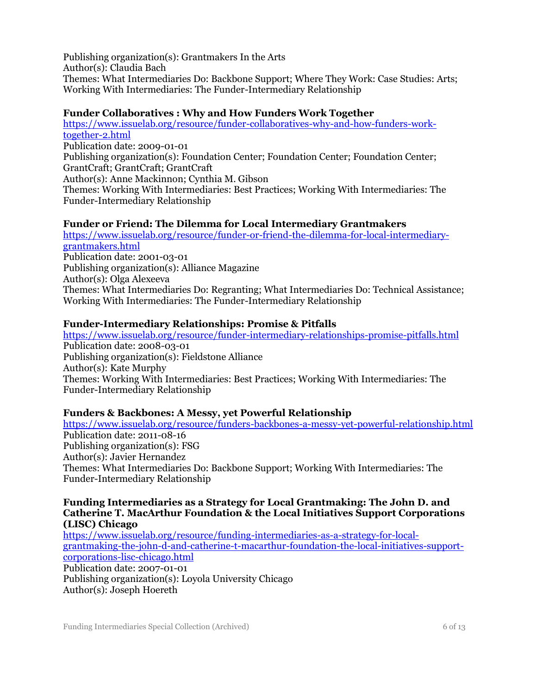Publishing organization(s): Grantmakers In the Arts Author(s): Claudia Bach Themes: What Intermediaries Do: Backbone Support; Where They Work: Case Studies: Arts; Working With Intermediaries: The Funder-Intermediary Relationship

#### **Funder Collaboratives : Why and How Funders Work Together**

[https://www.issuelab.org/resource/funder-collaboratives-why-and-how-funders-work](https://www.issuelab.org/resource/funder-collaboratives-why-and-how-funders-work-together-2.html)[together-2.html](https://www.issuelab.org/resource/funder-collaboratives-why-and-how-funders-work-together-2.html) Publication date: 2009-01-01 Publishing organization(s): Foundation Center; Foundation Center; Foundation Center; GrantCraft; GrantCraft; GrantCraft Author(s): Anne Mackinnon; Cynthia M. Gibson Themes: Working With Intermediaries: Best Practices; Working With Intermediaries: The Funder-Intermediary Relationship

#### **Funder or Friend: The Dilemma for Local Intermediary Grantmakers**

[https://www.issuelab.org/resource/funder-or-friend-the-dilemma-for-local-intermediary](https://www.issuelab.org/resource/funder-or-friend-the-dilemma-for-local-intermediary-grantmakers.html)[grantmakers.html](https://www.issuelab.org/resource/funder-or-friend-the-dilemma-for-local-intermediary-grantmakers.html) Publication date: 2001-03-01 Publishing organization(s): Alliance Magazine Author(s): Olga Alexeeva Themes: What Intermediaries Do: Regranting; What Intermediaries Do: Technical Assistance; Working With Intermediaries: The Funder-Intermediary Relationship

#### **Funder-Intermediary Relationships: Promise & Pitfalls**

<https://www.issuelab.org/resource/funder-intermediary-relationships-promise-pitfalls.html> Publication date: 2008-03-01 Publishing organization(s): Fieldstone Alliance Author(s): Kate Murphy Themes: Working With Intermediaries: Best Practices; Working With Intermediaries: The Funder-Intermediary Relationship

#### **Funders & Backbones: A Messy, yet Powerful Relationship**

<https://www.issuelab.org/resource/funders-backbones-a-messy-yet-powerful-relationship.html> Publication date: 2011-08-16 Publishing organization(s): FSG Author(s): Javier Hernandez Themes: What Intermediaries Do: Backbone Support; Working With Intermediaries: The Funder-Intermediary Relationship

#### **Funding Intermediaries as a Strategy for Local Grantmaking: The John D. and Catherine T. MacArthur Foundation & the Local Initiatives Support Corporations (LISC) Chicago**

[https://www.issuelab.org/resource/funding-intermediaries-as-a-strategy-for-local](https://www.issuelab.org/resource/funding-intermediaries-as-a-strategy-for-local-grantmaking-the-john-d-and-catherine-t-macarthur-foundation-the-local-initiatives-support-corporations-lisc-chicago.html)[grantmaking-the-john-d-and-catherine-t-macarthur-foundation-the-local-initiatives-support](https://www.issuelab.org/resource/funding-intermediaries-as-a-strategy-for-local-grantmaking-the-john-d-and-catherine-t-macarthur-foundation-the-local-initiatives-support-corporations-lisc-chicago.html)[corporations-lisc-chicago.html](https://www.issuelab.org/resource/funding-intermediaries-as-a-strategy-for-local-grantmaking-the-john-d-and-catherine-t-macarthur-foundation-the-local-initiatives-support-corporations-lisc-chicago.html) Publication date: 2007-01-01 Publishing organization(s): Loyola University Chicago Author(s): Joseph Hoereth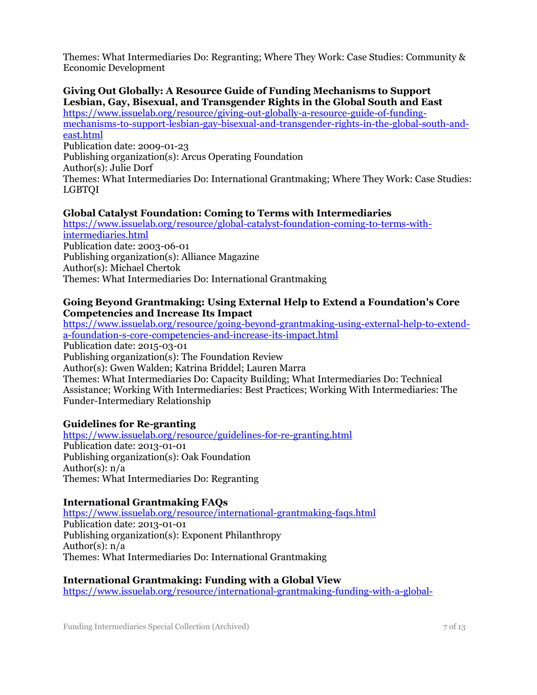Themes: What Intermediaries Do: Regranting; Where They Work: Case Studies: Community & Economic Development

#### **Giving Out Globally: A Resource Guide of Funding Mechanisms to Support Lesbian, Gay, Bisexual, and Transgender Rights in the Global South and East**

[https://www.issuelab.org/resource/giving-out-globally-a-resource-guide-of-funding](https://www.issuelab.org/resource/giving-out-globally-a-resource-guide-of-funding-mechanisms-to-support-lesbian-gay-bisexual-and-transgender-rights-in-the-global-south-and-east.html)[mechanisms-to-support-lesbian-gay-bisexual-and-transgender-rights-in-the-global-south-and](https://www.issuelab.org/resource/giving-out-globally-a-resource-guide-of-funding-mechanisms-to-support-lesbian-gay-bisexual-and-transgender-rights-in-the-global-south-and-east.html)[east.html](https://www.issuelab.org/resource/giving-out-globally-a-resource-guide-of-funding-mechanisms-to-support-lesbian-gay-bisexual-and-transgender-rights-in-the-global-south-and-east.html) Publication date: 2009-01-23 Publishing organization(s): Arcus Operating Foundation Author(s): Julie Dorf Themes: What Intermediaries Do: International Grantmaking; Where They Work: Case Studies: LGBTQI

### **Global Catalyst Foundation: Coming to Terms with Intermediaries**

[https://www.issuelab.org/resource/global-catalyst-foundation-coming-to-terms-with](https://www.issuelab.org/resource/global-catalyst-foundation-coming-to-terms-with-intermediaries.html)[intermediaries.html](https://www.issuelab.org/resource/global-catalyst-foundation-coming-to-terms-with-intermediaries.html) Publication date: 2003-06-01 Publishing organization(s): Alliance Magazine Author(s): Michael Chertok Themes: What Intermediaries Do: International Grantmaking

#### **Going Beyond Grantmaking: Using External Help to Extend a Foundation's Core Competencies and Increase Its Impact**

[https://www.issuelab.org/resource/going-beyond-grantmaking-using-external-help-to-extend](https://www.issuelab.org/resource/going-beyond-grantmaking-using-external-help-to-extend-a-foundation-s-core-competencies-and-increase-its-impact.html)[a-foundation-s-core-competencies-and-increase-its-impact.html](https://www.issuelab.org/resource/going-beyond-grantmaking-using-external-help-to-extend-a-foundation-s-core-competencies-and-increase-its-impact.html) Publication date: 2015-03-01 Publishing organization(s): The Foundation Review Author(s): Gwen Walden; Katrina Briddel; Lauren Marra Themes: What Intermediaries Do: Capacity Building; What Intermediaries Do: Technical Assistance; Working With Intermediaries: Best Practices; Working With Intermediaries: The Funder-Intermediary Relationship

**Guidelines for Re-granting** <https://www.issuelab.org/resource/guidelines-for-re-granting.html> Publication date: 2013-01-01 Publishing organization(s): Oak Foundation Author(s): n/a Themes: What Intermediaries Do: Regranting

#### **International Grantmaking FAQs**

<https://www.issuelab.org/resource/international-grantmaking-faqs.html> Publication date: 2013-01-01 Publishing organization(s): Exponent Philanthropy Author(s): n/a Themes: What Intermediaries Do: International Grantmaking

#### **International Grantmaking: Funding with a Global View**

[https://www.issuelab.org/resource/international-grantmaking-funding-with-a-global-](https://www.issuelab.org/resource/international-grantmaking-funding-with-a-global-view.html)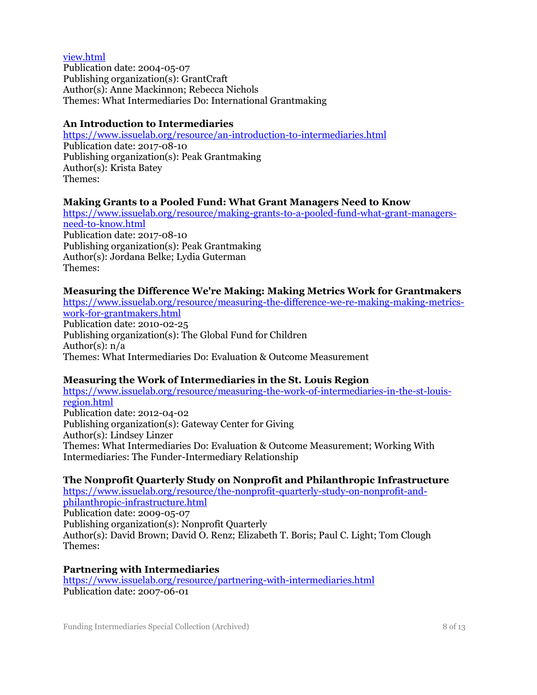#### [view.html](https://www.issuelab.org/resource/international-grantmaking-funding-with-a-global-view.html)

Publication date: 2004-05-07 Publishing organization(s): GrantCraft Author(s): Anne Mackinnon; Rebecca Nichols Themes: What Intermediaries Do: International Grantmaking

#### **An Introduction to Intermediaries**

<https://www.issuelab.org/resource/an-introduction-to-intermediaries.html> Publication date: 2017-08-10 Publishing organization(s): Peak Grantmaking Author(s): Krista Batey Themes:

#### **Making Grants to a Pooled Fund: What Grant Managers Need to Know**

[https://www.issuelab.org/resource/making-grants-to-a-pooled-fund-what-grant-managers](https://www.issuelab.org/resource/making-grants-to-a-pooled-fund-what-grant-managers-need-to-know.html)[need-to-know.html](https://www.issuelab.org/resource/making-grants-to-a-pooled-fund-what-grant-managers-need-to-know.html) Publication date: 2017-08-10 Publishing organization(s): Peak Grantmaking Author(s): Jordana Belke; Lydia Guterman Themes:

#### **Measuring the Difference We're Making: Making Metrics Work for Grantmakers**

[https://www.issuelab.org/resource/measuring-the-difference-we-re-making-making-metrics](https://www.issuelab.org/resource/measuring-the-difference-we-re-making-making-metrics-work-for-grantmakers.html)[work-for-grantmakers.html](https://www.issuelab.org/resource/measuring-the-difference-we-re-making-making-metrics-work-for-grantmakers.html) Publication date: 2010-02-25 Publishing organization(s): The Global Fund for Children Author(s): n/a Themes: What Intermediaries Do: Evaluation & Outcome Measurement

#### **Measuring the Work of Intermediaries in the St. Louis Region**

[https://www.issuelab.org/resource/measuring-the-work-of-intermediaries-in-the-st-louis](https://www.issuelab.org/resource/measuring-the-work-of-intermediaries-in-the-st-louis-region.html)[region.html](https://www.issuelab.org/resource/measuring-the-work-of-intermediaries-in-the-st-louis-region.html) Publication date: 2012-04-02 Publishing organization(s): Gateway Center for Giving Author(s): Lindsey Linzer Themes: What Intermediaries Do: Evaluation & Outcome Measurement; Working With Intermediaries: The Funder-Intermediary Relationship

#### **The Nonprofit Quarterly Study on Nonprofit and Philanthropic Infrastructure**

[https://www.issuelab.org/resource/the-nonprofit-quarterly-study-on-nonprofit-and](https://www.issuelab.org/resource/the-nonprofit-quarterly-study-on-nonprofit-and-philanthropic-infrastructure.html)[philanthropic-infrastructure.html](https://www.issuelab.org/resource/the-nonprofit-quarterly-study-on-nonprofit-and-philanthropic-infrastructure.html) Publication date: 2009-05-07 Publishing organization(s): Nonprofit Quarterly Author(s): David Brown; David O. Renz; Elizabeth T. Boris; Paul C. Light; Tom Clough Themes:

#### **Partnering with Intermediaries**

<https://www.issuelab.org/resource/partnering-with-intermediaries.html> Publication date: 2007-06-01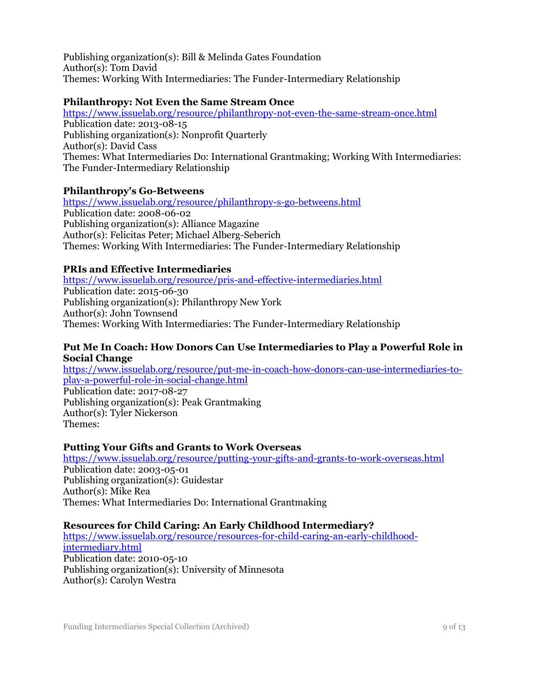Publishing organization(s): Bill & Melinda Gates Foundation Author(s): Tom David Themes: Working With Intermediaries: The Funder-Intermediary Relationship

#### **Philanthropy: Not Even the Same Stream Once**

<https://www.issuelab.org/resource/philanthropy-not-even-the-same-stream-once.html> Publication date: 2013-08-15 Publishing organization(s): Nonprofit Quarterly Author(s): David Cass Themes: What Intermediaries Do: International Grantmaking; Working With Intermediaries: The Funder-Intermediary Relationship

#### **Philanthropy's Go-Betweens**

<https://www.issuelab.org/resource/philanthropy-s-go-betweens.html> Publication date: 2008-06-02 Publishing organization(s): Alliance Magazine Author(s): Felicitas Peter; Michael Alberg-Seberich Themes: Working With Intermediaries: The Funder-Intermediary Relationship

#### **PRIs and Effective Intermediaries**

<https://www.issuelab.org/resource/pris-and-effective-intermediaries.html> Publication date: 2015-06-30 Publishing organization(s): Philanthropy New York Author(s): John Townsend Themes: Working With Intermediaries: The Funder-Intermediary Relationship

#### **Put Me In Coach: How Donors Can Use Intermediaries to Play a Powerful Role in Social Change**

[https://www.issuelab.org/resource/put-me-in-coach-how-donors-can-use-intermediaries-to](https://www.issuelab.org/resource/put-me-in-coach-how-donors-can-use-intermediaries-to-play-a-powerful-role-in-social-change.html)[play-a-powerful-role-in-social-change.html](https://www.issuelab.org/resource/put-me-in-coach-how-donors-can-use-intermediaries-to-play-a-powerful-role-in-social-change.html)

Publication date: 2017-08-27 Publishing organization(s): Peak Grantmaking Author(s): Tyler Nickerson Themes:

#### **Putting Your Gifts and Grants to Work Overseas**

<https://www.issuelab.org/resource/putting-your-gifts-and-grants-to-work-overseas.html> Publication date: 2003-05-01 Publishing organization(s): Guidestar Author(s): Mike Rea Themes: What Intermediaries Do: International Grantmaking

#### **Resources for Child Caring: An Early Childhood Intermediary?**

[https://www.issuelab.org/resource/resources-for-child-caring-an-early-childhood](https://www.issuelab.org/resource/resources-for-child-caring-an-early-childhood-intermediary.html)[intermediary.html](https://www.issuelab.org/resource/resources-for-child-caring-an-early-childhood-intermediary.html) Publication date: 2010-05-10 Publishing organization(s): University of Minnesota Author(s): Carolyn Westra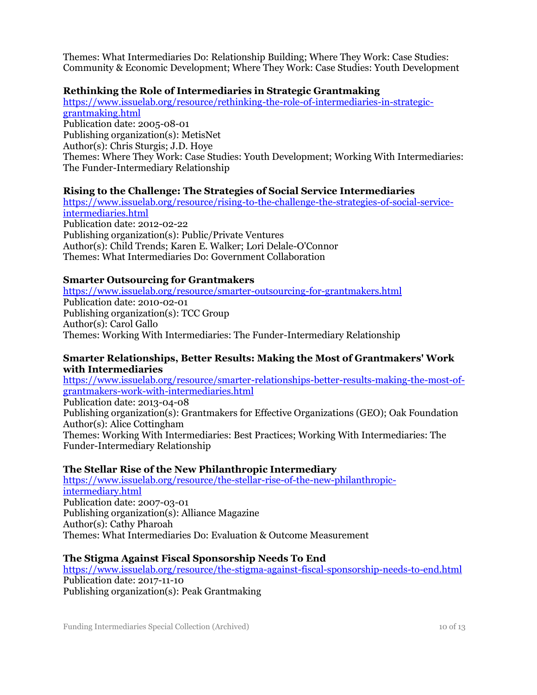Themes: What Intermediaries Do: Relationship Building; Where They Work: Case Studies: Community & Economic Development; Where They Work: Case Studies: Youth Development

#### **Rethinking the Role of Intermediaries in Strategic Grantmaking**

[https://www.issuelab.org/resource/rethinking-the-role-of-intermediaries-in-strategic](https://www.issuelab.org/resource/rethinking-the-role-of-intermediaries-in-strategic-grantmaking.html)[grantmaking.html](https://www.issuelab.org/resource/rethinking-the-role-of-intermediaries-in-strategic-grantmaking.html) Publication date: 2005-08-01 Publishing organization(s): MetisNet Author(s): Chris Sturgis; J.D. Hoye Themes: Where They Work: Case Studies: Youth Development; Working With Intermediaries: The Funder-Intermediary Relationship

#### **Rising to the Challenge: The Strategies of Social Service Intermediaries**

[https://www.issuelab.org/resource/rising-to-the-challenge-the-strategies-of-social-service](https://www.issuelab.org/resource/rising-to-the-challenge-the-strategies-of-social-service-intermediaries.html)[intermediaries.html](https://www.issuelab.org/resource/rising-to-the-challenge-the-strategies-of-social-service-intermediaries.html) Publication date: 2012-02-22 Publishing organization(s): Public/Private Ventures Author(s): Child Trends; Karen E. Walker; Lori Delale-O'Connor Themes: What Intermediaries Do: Government Collaboration

#### **Smarter Outsourcing for Grantmakers**

<https://www.issuelab.org/resource/smarter-outsourcing-for-grantmakers.html> Publication date: 2010-02-01 Publishing organization(s): TCC Group Author(s): Carol Gallo Themes: Working With Intermediaries: The Funder-Intermediary Relationship

#### **Smarter Relationships, Better Results: Making the Most of Grantmakers' Work with Intermediaries**

[https://www.issuelab.org/resource/smarter-relationships-better-results-making-the-most-of](https://www.issuelab.org/resource/smarter-relationships-better-results-making-the-most-of-grantmakers-work-with-intermediaries.html)[grantmakers-work-with-intermediaries.html](https://www.issuelab.org/resource/smarter-relationships-better-results-making-the-most-of-grantmakers-work-with-intermediaries.html)

Publication date: 2013-04-08 Publishing organization(s): Grantmakers for Effective Organizations (GEO); Oak Foundation Author(s): Alice Cottingham Themes: Working With Intermediaries: Best Practices; Working With Intermediaries: The Funder-Intermediary Relationship

#### **The Stellar Rise of the New Philanthropic Intermediary**

[https://www.issuelab.org/resource/the-stellar-rise-of-the-new-philanthropic](https://www.issuelab.org/resource/the-stellar-rise-of-the-new-philanthropic-intermediary.html)[intermediary.html](https://www.issuelab.org/resource/the-stellar-rise-of-the-new-philanthropic-intermediary.html) Publication date: 2007-03-01 Publishing organization(s): Alliance Magazine Author(s): Cathy Pharoah Themes: What Intermediaries Do: Evaluation & Outcome Measurement

#### **The Stigma Against Fiscal Sponsorship Needs To End**

<https://www.issuelab.org/resource/the-stigma-against-fiscal-sponsorship-needs-to-end.html> Publication date: 2017-11-10 Publishing organization(s): Peak Grantmaking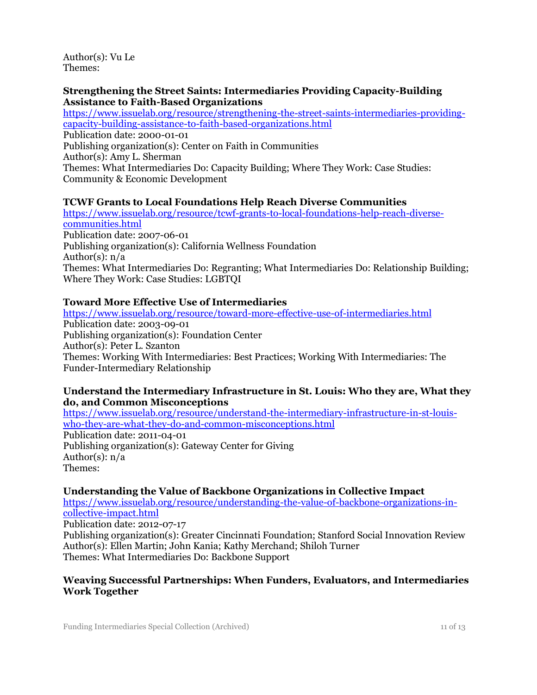Author(s): Vu Le Themes:

#### **Strengthening the Street Saints: Intermediaries Providing Capacity-Building Assistance to Faith-Based Organizations**

[https://www.issuelab.org/resource/strengthening-the-street-saints-intermediaries-providing](https://www.issuelab.org/resource/strengthening-the-street-saints-intermediaries-providing-capacity-building-assistance-to-faith-based-organizations.html)[capacity-building-assistance-to-faith-based-organizations.html](https://www.issuelab.org/resource/strengthening-the-street-saints-intermediaries-providing-capacity-building-assistance-to-faith-based-organizations.html) Publication date: 2000-01-01 Publishing organization(s): Center on Faith in Communities Author(s): Amy L. Sherman Themes: What Intermediaries Do: Capacity Building; Where They Work: Case Studies: Community & Economic Development

#### **TCWF Grants to Local Foundations Help Reach Diverse Communities**

[https://www.issuelab.org/resource/tcwf-grants-to-local-foundations-help-reach-diverse](https://www.issuelab.org/resource/tcwf-grants-to-local-foundations-help-reach-diverse-communities.html)[communities.html](https://www.issuelab.org/resource/tcwf-grants-to-local-foundations-help-reach-diverse-communities.html) Publication date: 2007-06-01 Publishing organization(s): California Wellness Foundation Author(s): n/a Themes: What Intermediaries Do: Regranting; What Intermediaries Do: Relationship Building; Where They Work: Case Studies: LGBTQI

#### **Toward More Effective Use of Intermediaries**

<https://www.issuelab.org/resource/toward-more-effective-use-of-intermediaries.html> Publication date: 2003-09-01 Publishing organization(s): Foundation Center Author(s): Peter L. Szanton Themes: Working With Intermediaries: Best Practices; Working With Intermediaries: The Funder-Intermediary Relationship

#### **Understand the Intermediary Infrastructure in St. Louis: Who they are, What they do, and Common Misconceptions**

[https://www.issuelab.org/resource/understand-the-intermediary-infrastructure-in-st-louis](https://www.issuelab.org/resource/understand-the-intermediary-infrastructure-in-st-louis-who-they-are-what-they-do-and-common-misconceptions.html)[who-they-are-what-they-do-and-common-misconceptions.html](https://www.issuelab.org/resource/understand-the-intermediary-infrastructure-in-st-louis-who-they-are-what-they-do-and-common-misconceptions.html) Publication date: 2011-04-01 Publishing organization(s): Gateway Center for Giving Author(s): n/a Themes:

#### **Understanding the Value of Backbone Organizations in Collective Impact**

[https://www.issuelab.org/resource/understanding-the-value-of-backbone-organizations-in](https://www.issuelab.org/resource/understanding-the-value-of-backbone-organizations-in-collective-impact.html)[collective-impact.html](https://www.issuelab.org/resource/understanding-the-value-of-backbone-organizations-in-collective-impact.html)

Publication date: 2012-07-17

Publishing organization(s): Greater Cincinnati Foundation; Stanford Social Innovation Review Author(s): Ellen Martin; John Kania; Kathy Merchand; Shiloh Turner Themes: What Intermediaries Do: Backbone Support

#### **Weaving Successful Partnerships: When Funders, Evaluators, and Intermediaries Work Together**

Funding Intermediaries Special Collection (Archived) 11 of 13